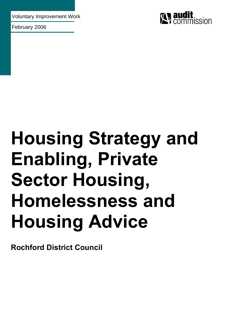Voluntary Improvement Work

February 2006



# **Housing Strategy and Enabling, Private Sector Housing, Homelessness and Housing Advice**

**Rochford District Council**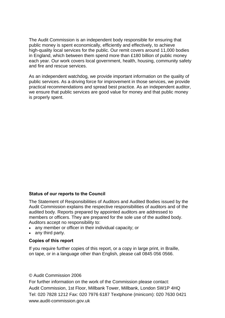The Audit Commission is an independent body responsible for ensuring that public money is spent economically, efficiently and effectively, to achieve high-quality local services for the public. Our remit covers around 11,000 bodies in England, which between them spend more than £180 billion of public money each year. Our work covers local government, health, housing, community safety and fire and rescue services.

As an independent watchdog, we provide important information on the quality of public services. As a driving force for improvement in those services, we provide practical recommendations and spread best practice. As an independent auditor, we ensure that public services are good value for money and that public money is properly spent.

## **Status of our reports to the Council**

The Statement of Responsibilities of Auditors and Audited Bodies issued by the Audit Commission explains the respective responsibilities of auditors and of the audited body. Reports prepared by appointed auditors are addressed to members or officers. They are prepared for the sole use of the audited body. Auditors accept no responsibility to:

- any member or officer in their individual capacity; or
- any third party.

### **Copies of this report**

If you require further copies of this report, or a copy in large print, in Braille, on tape, or in a language other than English, please call 0845 056 0566.

#### © Audit Commission 2006

For further information on the work of the Commission please contact: Audit Commission, 1st Floor, Millbank Tower, Millbank, London SW1P 4HQ Tel: 020 7828 1212 Fax: 020 7976 6187 Textphone (minicom): 020 7630 0421 www.audit-commission.gov.uk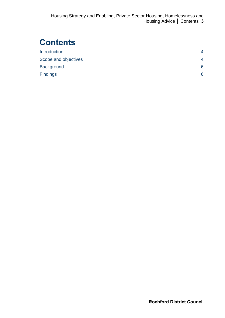# **Contents**

| <b>Introduction</b>  |                          |
|----------------------|--------------------------|
| Scope and objectives | $\overline{\mathcal{A}}$ |
| <b>Background</b>    | 6                        |
| <b>Findings</b>      | 6                        |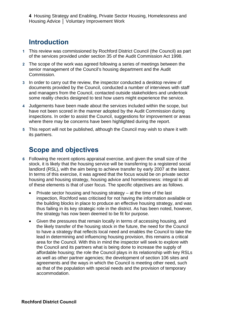**4** Housing Strategy and Enabling, Private Sector Housing, Homelessness and Housing Advice **│** Voluntary Improvement Work

## **Introduction**

- **1** This review was commissioned by Rochford District Council (the Council) as part of the services provided under section 35 of the Audit Commission Act 1998.
- **2** The scope of the work was agreed following a series of meetings between the senior management of the Council's housing department and the Audit Commission.
- **3** In order to carry out the review, the inspector conducted a desktop review of documents provided by the Council, conducted a number of interviews with staff and managers from the Council, contacted outside stakeholders and undertook some reality checks designed to test how users might experience the service.
- **4** Judgements have been made about the services included within the scope, but have not been scored in the manner adopted by the Audit Commission during inspections. In order to assist the Council, suggestions for improvement or areas where there may be concerns have been highlighted during the report.
- **5** This report will not be published, although the Council may wish to share it with its partners.

## **Scope and objectives**

- **6** Following the recent options appraisal exercise, and given the small size of the stock, it is likely that the housing service will be transferring to a registered social landlord (RSL), with the aim being to achieve transfer by early 2007 at the latest. In terms of this exercise, it was agreed that the focus would be on private sector housing and housing strategy, housing advice and homelessness: integral to all of these elements is that of user focus. The specific objectives are as follows.
	- Private sector housing and housing strategy at the time of the last inspection, Rochford was criticised for not having the information available or the building blocks in place to produce an effective housing strategy, and was thus failing in its key strategic role in the district. As has been noted, however, the strategy has now been deemed to be fit for purpose.
	- Given the pressures that remain locally in terms of accessing housing, and the likely transfer of the housing stock in the future, the need for the Council to have a strategy that reflects local need and enables the Council to take the lead in determining and influencing housing provision, this remains a critical area for the Council. With this in mind the inspector will seek to explore with the Council and its partners what is being done to increase the supply of affordable housing; the role the Council plays in its relationship with key RSLs as well as other partner agencies; the development of section 106 sites and agreements and the ways in which the Council is meeting other need, such as that of the population with special needs and the provision of temporary accommodation.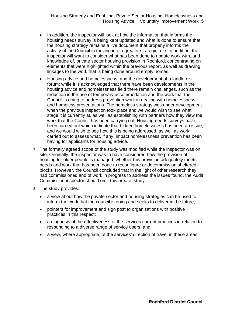- In addition, the inspector will look at how the information that informs the housing needs survey is being kept updated and what is done to ensure that the housing strategy remains a live document that properly informs the activity of the Council in moving into a greater strategic role. In addition, the inspector will want to consider what has been done to update work with, and knowledge of, private sector housing provision in Rochford, concentrating on elements that were highlighted within the previous report, as well as drawing linkages to the work that is being done around empty homes.
- Housing advice and homelessness, and the development of a landlord's forum: while it is acknowledged that there have been developments in the housing advice and homelessness field there remain challenges, such as the reduction in the use of temporary accommodation and the work that the Council is doing to address prevention work in dealing with homelessness and homeless presentations. The homeless strategy was under development when the previous inspection took place and we would wish to see what stage it is currently at, as well as establishing with partners how they view the work that the Council has been carrying out. Housing needs surveys have been carried out which indicate that hidden homelessness has been an issue, and we would wish to see how this is being addressed, as well as work carried out to assess what, if any, impact homelessness prevention has been having for applicants for housing advice.
- **7** The formally agreed scope of the study was modified while the inspector was on site. Originally, the inspector was to have considered how the provision of housing for older people is managed, whether this provision adequately meets needs and work that has been done to reconfigure or decommission sheltered blocks. However, the Council concluded that in the light of other research they had commissioned and of work in progress to address the issues found, the Audit Commission inspector should omit this area of study.
- **8** The study provides:
	- a view about how the private sector and housing strategies can be used to inform the work that the council is doing and seeks to deliver in the future;
	- pointers for improvement and sign post to organisations with positive practices in this respect;
	- a diagnosis of the effectiveness of the services current practices in relation to responding to a diverse range of service users; and
	- a view, where appropriate, of the services' direction of travel in these areas.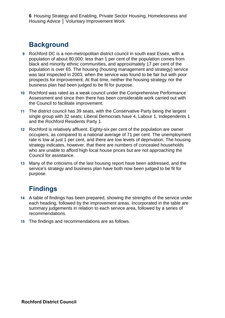**6** Housing Strategy and Enabling, Private Sector Housing, Homelessness and Housing Advice **│** Voluntary Improvement Work

# **Background**

- **9** Rochford DC is a non-metropolitan district council in south east Essex, with a population of about 80,000: less than 1 per cent of the population comes from black and minority ethnic communities, and approximately 17 per cent of the population is over 65. The housing (housing management and strategy) service was last inspected in 2003, when the service was found to be fair but with poor prospects for improvement. At that time, neither the housing strategy nor the business plan had been judged to be fit for purpose.
- **10** Rochford was rated as a weak council under the Comprehensive Performance Assessment and since then there has been considerable work carried out with the Council to facilitate improvement.
- **11** The district council has 39 seats, with the Conservative Party being the largest single group with 32 seats; Liberal Democrats have 4, Labour 1, Independents 1 and the Rochford Residents Party 1.
- **12** Rochford is relatively affluent. Eighty-six per cent of the population are owner occupiers, as compared to a national average of 71 per cent. The unemployment rate is low at just 1 per cent, and there are low levels of deprivation. The housing strategy indicates, however, that there are numbers of concealed households who are unable to afford high local house prices but are not approaching the Council for assistance.
- **13** Many of the criticisms of the last housing report have been addressed, and the service's strategy and business plan have both now been judged to be fit for purpose.

# **Findings**

- **14** A table of findings has been prepared, showing the strengths of the service under each heading, followed by the improvement areas. Incorporated in the table are summary judgements in relation to each service area, followed by a series of recommendations.
- **15** The findings and recommendations are as follows.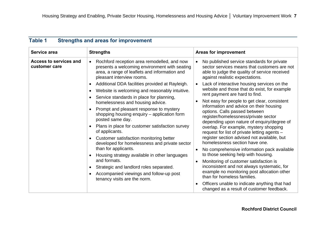| <b>Table 1</b><br><b>Strengths and areas for improvement</b> |  |
|--------------------------------------------------------------|--|
|--------------------------------------------------------------|--|

| Service area                            | <b>Strengths</b>                                                                                                                                                                                                                                                                                                                                                             | <b>Areas for improvement</b>                                                                                                                                                                                                                                                                                                                                                                                                                                                                                                                                                                                                                                                                                                                                                                                                                                                                                                                                                                                                                                                                                               |
|-----------------------------------------|------------------------------------------------------------------------------------------------------------------------------------------------------------------------------------------------------------------------------------------------------------------------------------------------------------------------------------------------------------------------------|----------------------------------------------------------------------------------------------------------------------------------------------------------------------------------------------------------------------------------------------------------------------------------------------------------------------------------------------------------------------------------------------------------------------------------------------------------------------------------------------------------------------------------------------------------------------------------------------------------------------------------------------------------------------------------------------------------------------------------------------------------------------------------------------------------------------------------------------------------------------------------------------------------------------------------------------------------------------------------------------------------------------------------------------------------------------------------------------------------------------------|
| Access to services and<br>customer care | Rochford reception area remodelled, and now<br>presents a welcoming environment with seating<br>area, a range of leaflets and information and<br>pleasant interview rooms.                                                                                                                                                                                                   | No published service standards for private<br>sector services means that customers are not<br>able to judge the quality of service received<br>against realistic expectations.<br>Additional DDA facilities provided at Rayleigh.<br>Lack of interactive housing services on the<br>website and those that do exist, for example<br>rent payment are hard to find.<br>Not easy for people to get clear, consistent<br>information and advice on their housing<br>options. Calls passed between<br>register/homelessness/private sector<br>depending upon nature of enquiry/degree of<br>overlap. For example, mystery shopping<br>request for list of private letting agents -<br>register section advised not available, but<br>homelessness section have one.<br>No comprehensive information pack available<br>to those seeking help with housing.<br>Monitoring of customer satisfaction is<br>inconsistent and not always systematic, for<br>example no monitoring post allocation other<br>than for homeless families.<br>Officers unable to indicate anything that had<br>changed as a result of customer feedback. |
|                                         | Website is welcoming and reasonably intuitive.<br>$\bullet$<br>Service standards in place for planning,<br>homelessness and housing advice.<br>Prompt and pleasant response to mystery<br>shopping housing enquiry – application form<br>posted same day.                                                                                                                    |                                                                                                                                                                                                                                                                                                                                                                                                                                                                                                                                                                                                                                                                                                                                                                                                                                                                                                                                                                                                                                                                                                                            |
|                                         | Plans in place for customer satisfaction survey<br>of applicants.<br>Customer satisfaction monitoring better<br>developed for homelessness and private sector<br>than for applicants.<br>Housing strategy available in other languages<br>and formats.<br>Strategic and landlord roles separated.<br>Accompanied viewings and follow-up post<br>tenancy visits are the norm. |                                                                                                                                                                                                                                                                                                                                                                                                                                                                                                                                                                                                                                                                                                                                                                                                                                                                                                                                                                                                                                                                                                                            |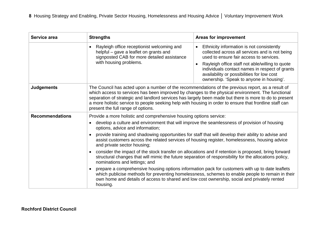| Service area           | <b>Strengths</b>                                                                                                                                                                                                                                                                                                                                                                                                                                                  | <b>Areas for improvement</b>                                                                                                                                                                                                                                                                                                                       |
|------------------------|-------------------------------------------------------------------------------------------------------------------------------------------------------------------------------------------------------------------------------------------------------------------------------------------------------------------------------------------------------------------------------------------------------------------------------------------------------------------|----------------------------------------------------------------------------------------------------------------------------------------------------------------------------------------------------------------------------------------------------------------------------------------------------------------------------------------------------|
|                        | Rayleigh office receptionist welcoming and<br>helpful - gave a leaflet on grants and<br>signposted CAB for more detailed assistance<br>with housing problems.                                                                                                                                                                                                                                                                                                     | Ethnicity information is not consistently<br>collected across all services and is not being<br>used to ensure fair access to services.<br>Rayleigh office staff not able/willing to quote<br>$\bullet$<br>individuals contact names in respect of grants<br>availability or possibilities for low cost<br>ownership. 'Speak to anyone in housing'. |
| <b>Judgements</b>      | The Council has acted upon a number of the recommendations of the previous report, as a result of<br>which access to services has been improved by changes to the physical environment. The functional<br>separation of strategic and landlord services has largely been made but there is more to do to present<br>a more holistic service to people seeking help with housing in order to ensure that frontline staff can<br>present the full range of options. |                                                                                                                                                                                                                                                                                                                                                    |
| <b>Recommendations</b> | Provide a more holistic and comprehensive housing options service:                                                                                                                                                                                                                                                                                                                                                                                                |                                                                                                                                                                                                                                                                                                                                                    |
|                        | develop a culture and environment that will improve the seamlessness of provision of housing<br>options, advice and information;                                                                                                                                                                                                                                                                                                                                  |                                                                                                                                                                                                                                                                                                                                                    |
|                        | provide training and shadowing opportunities for staff that will develop their ability to advise and<br>assist customers across the related services of housing register, homelessness, housing advice<br>and private sector housing;                                                                                                                                                                                                                             |                                                                                                                                                                                                                                                                                                                                                    |
|                        | consider the impact of the stock transfer on allocations and if retention is proposed, bring forward<br>structural changes that will mimic the future separation of responsibility for the allocations policy,<br>nominations and lettings; and                                                                                                                                                                                                                   |                                                                                                                                                                                                                                                                                                                                                    |
|                        | prepare a comprehensive housing options information pack for customers with up to date leaflets<br>own home and details of access to shared and low cost ownership, social and privately rented<br>housing.                                                                                                                                                                                                                                                       | which publicise methods for preventing homelessness, schemes to enable people to remain in their                                                                                                                                                                                                                                                   |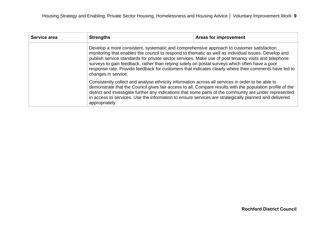| Service area | <b>Strengths</b>                                                                                                                                                                                                                                                                                                                                                                                                                                                                                                                            | Areas for improvement                                                                                                                                                                                                                                                                                                                                                                                                              |  |
|--------------|---------------------------------------------------------------------------------------------------------------------------------------------------------------------------------------------------------------------------------------------------------------------------------------------------------------------------------------------------------------------------------------------------------------------------------------------------------------------------------------------------------------------------------------------|------------------------------------------------------------------------------------------------------------------------------------------------------------------------------------------------------------------------------------------------------------------------------------------------------------------------------------------------------------------------------------------------------------------------------------|--|
|              | Develop a more consistent, systematic and comprehensive approach to customer satisfaction<br>monitoring that enables the council to respond to thematic as well as individual issues. Develop and<br>publish service standards for private sector services. Make use of post tenancy visits and telephone<br>surveys to gain feedback, rather than relying solely on postal surveys which often have a poor<br>response rate. Provide feedback for customers that indicates clearly where their comments have led to<br>changes in service. |                                                                                                                                                                                                                                                                                                                                                                                                                                    |  |
|              | appropriately.                                                                                                                                                                                                                                                                                                                                                                                                                                                                                                                              | Consistently collect and analyse ethnicity information across all services in order to be able to<br>demonstrate that the Council gives fair access to all. Compare results with the population profile of the<br>district and investigate further any indications that some parts of the community are under represented<br>in access to services. Use the information to ensure services are strategically planned and delivered |  |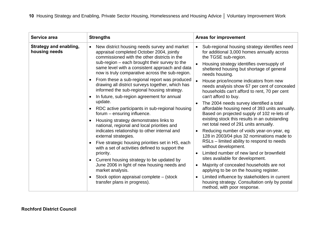| Service area                                   | <b>Strengths</b>                                                                                                                                                                                                                                                                                                                                                                                                                                                                                                                                                                                                                                                                                                                                                                                                                                                                                                                  | <b>Areas for improvement</b>                                                                                                                                                                                                                                                                                                                                                                                                                                                                                                                                                                                                                                                                                                                                                                                                                                                              |
|------------------------------------------------|-----------------------------------------------------------------------------------------------------------------------------------------------------------------------------------------------------------------------------------------------------------------------------------------------------------------------------------------------------------------------------------------------------------------------------------------------------------------------------------------------------------------------------------------------------------------------------------------------------------------------------------------------------------------------------------------------------------------------------------------------------------------------------------------------------------------------------------------------------------------------------------------------------------------------------------|-------------------------------------------------------------------------------------------------------------------------------------------------------------------------------------------------------------------------------------------------------------------------------------------------------------------------------------------------------------------------------------------------------------------------------------------------------------------------------------------------------------------------------------------------------------------------------------------------------------------------------------------------------------------------------------------------------------------------------------------------------------------------------------------------------------------------------------------------------------------------------------------|
| <b>Strategy and enabling,</b><br>housing needs | New district housing needs survey and market<br>appraisal completed October 2004, jointly<br>commissioned with the other districts in the<br>sub-region – each brought their survey to the<br>same level with a consistent approach and data<br>now is truly comparative across the sub-region.<br>From these a sub-regional report was produced<br>drawing all district surveys together, which has<br>informed the sub-regional housing strategy.<br>In future, sub-region agreement for annual<br>update.<br>RDC active participants in sub-regional housing<br>forum – ensuring influence.<br>Housing strategy demonstrates links to<br>national, regional and local priorities and<br>indicates relationship to other internal and<br>external strategies.<br>Five strategic housing priorities set in HS, each<br>with a set of activities defined to support the<br>priority.<br>Current housing strategy to be updated by | Sub-regional housing strategy identifies need<br>for additional 3,000 homes annually across<br>the TGSE sub-region.<br>Housing strategy identifies oversupply of<br>sheltered housing but shortage of general<br>needs housing.<br>House price/income indicators from new<br>needs analysis show 67 per cent of concealed<br>households can't afford to rent, 70 per cent<br>can't afford to buy.<br>The 2004 needs survey identified a total<br>affordable housing need of 393 units annually.<br>Based on projected supply of 102 re-lets of<br>existing stock this results in an outstanding<br>net total need of 291 units annually.<br>Reducing number of voids year-on-year, eg<br>128 in 2003/04 plus 32 nominations made to<br>RSLs – limited ability to respond to needs<br>without development.<br>Limited number of new land or brownfield<br>sites available for development. |
|                                                | June 2006 in light of new housing needs and<br>market analysis.                                                                                                                                                                                                                                                                                                                                                                                                                                                                                                                                                                                                                                                                                                                                                                                                                                                                   | Majority of concealed households are not<br>$\bullet$<br>applying to be on the housing register.                                                                                                                                                                                                                                                                                                                                                                                                                                                                                                                                                                                                                                                                                                                                                                                          |
|                                                |                                                                                                                                                                                                                                                                                                                                                                                                                                                                                                                                                                                                                                                                                                                                                                                                                                                                                                                                   |                                                                                                                                                                                                                                                                                                                                                                                                                                                                                                                                                                                                                                                                                                                                                                                                                                                                                           |
|                                                | Stock option appraisal complete – (stock<br>transfer plans in progress).                                                                                                                                                                                                                                                                                                                                                                                                                                                                                                                                                                                                                                                                                                                                                                                                                                                          | Limited influence by stakeholders in current<br>housing strategy. Consultation only by postal<br>method, with poor response.                                                                                                                                                                                                                                                                                                                                                                                                                                                                                                                                                                                                                                                                                                                                                              |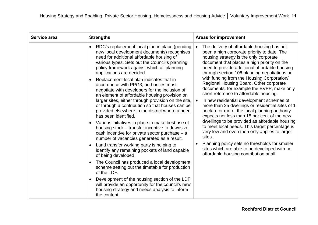| Service area | <b>Strengths</b>                                                                                                                                                                                                                                                                                                                                                                                                                                                                                                                                                                                                                                                                                                                                                                                                                                                                                                                                                                                                                                                                                                                                                                                                                                                               | <b>Areas for improvement</b>                                                                                                                                                                                                                                                                                                                                                                                                                                                                                                                                                                                                                                                                                                                                                                                                                                                                                                                                                       |
|--------------|--------------------------------------------------------------------------------------------------------------------------------------------------------------------------------------------------------------------------------------------------------------------------------------------------------------------------------------------------------------------------------------------------------------------------------------------------------------------------------------------------------------------------------------------------------------------------------------------------------------------------------------------------------------------------------------------------------------------------------------------------------------------------------------------------------------------------------------------------------------------------------------------------------------------------------------------------------------------------------------------------------------------------------------------------------------------------------------------------------------------------------------------------------------------------------------------------------------------------------------------------------------------------------|------------------------------------------------------------------------------------------------------------------------------------------------------------------------------------------------------------------------------------------------------------------------------------------------------------------------------------------------------------------------------------------------------------------------------------------------------------------------------------------------------------------------------------------------------------------------------------------------------------------------------------------------------------------------------------------------------------------------------------------------------------------------------------------------------------------------------------------------------------------------------------------------------------------------------------------------------------------------------------|
|              | RDC's replacement local plan in place (pending<br>new local development documents) recognises<br>need for additional affordable housing of<br>various types. Sets out the Council's planning<br>policy framework against which all planning<br>applications are decided.<br>Replacement local plan indicates that in<br>accordance with PPG3, authorities must<br>negotiate with developers for the inclusion of<br>an element of affordable housing provision on<br>larger sites, either through provision on the site,<br>or through a contribution so that houses can be<br>provided elsewhere in the district where a need<br>has been identified.<br>Various initiatives in place to make best use of<br>housing stock – transfer incentive to downsize,<br>cash incentive for private sector purchase $-$ a<br>number of vacancies generated as a result.<br>Land transfer working party is helping to<br>identify any remaining pockets of land capable<br>of being developed.<br>The Council has produced a local development<br>scheme setting out the timetable for production<br>of the LDF.<br>Development of the housing section of the LDF<br>will provide an opportunity for the council's new<br>housing strategy and needs analysis to inform<br>the content. | The delivery of affordable housing has not<br>been a high corporate priority to date. The<br>housing strategy is the only corporate<br>document that places a high priority on the<br>need to provide additional affordable housing<br>through section 106 planning negotiations or<br>with funding from the Housing Corporation/<br>Regional Housing Board. Other corporate<br>documents, for example the BVPP, make only<br>short reference to affordable housing.<br>In new residential development schemes of<br>more than 25 dwellings or residential sites of 1<br>hectare or more, the local planning authority<br>expects not less than 15 per cent of the new<br>dwellings to be provided as affordable housing<br>to meet local needs. This target percentage is<br>very low and even then only applies to larger<br>sites.<br>Planning policy sets no thresholds for smaller<br>sites which are able to be developed with no<br>affordable housing contribution at all. |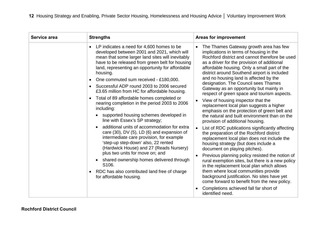| Service area | <b>Strengths</b>                                                                                                                                                                                                                                                                                                                                                                                                                                                                                                                                                                                                                                                                                                                                                                                                                                                                                                                                                                                            | <b>Areas for improvement</b>                                                                                                                                                                                                                                                                                                                                                                                                                                                                                                                                                                                                                                                                                                                                                                                                                                                                                                                                                                                                                                                                                                                                                                                                                                            |
|--------------|-------------------------------------------------------------------------------------------------------------------------------------------------------------------------------------------------------------------------------------------------------------------------------------------------------------------------------------------------------------------------------------------------------------------------------------------------------------------------------------------------------------------------------------------------------------------------------------------------------------------------------------------------------------------------------------------------------------------------------------------------------------------------------------------------------------------------------------------------------------------------------------------------------------------------------------------------------------------------------------------------------------|-------------------------------------------------------------------------------------------------------------------------------------------------------------------------------------------------------------------------------------------------------------------------------------------------------------------------------------------------------------------------------------------------------------------------------------------------------------------------------------------------------------------------------------------------------------------------------------------------------------------------------------------------------------------------------------------------------------------------------------------------------------------------------------------------------------------------------------------------------------------------------------------------------------------------------------------------------------------------------------------------------------------------------------------------------------------------------------------------------------------------------------------------------------------------------------------------------------------------------------------------------------------------|
|              | LP indicates a need for 4,600 homes to be<br>developed between 2001 and 2021, which will<br>mean that some larger land sites will inevitably<br>have to be released from green belt for housing<br>land, representing an opportunity for affordable<br>housing.<br>One commuted sum received - £180,000.<br>Successful ADP round 2003 to 2006 secured<br>£3.65 million from HC for affordable housing.<br>Total of 89 affordable homes completed or<br>nearing completion in the period 2003 to 2006<br>including:<br>supported housing schemes developed in<br>line with Essex's SP strategy;<br>additional units of accommodation for extra<br>care (30), DV (5), LD (6) and expansion of<br>intermediate care provision, for example<br>'step-up step-down' also, 22 rented<br>(Hardwick House) and 27 (Reads Nursery)<br>plus two units for move on; and<br>• shared ownership homes delivered through<br>S <sub>106</sub> .<br>RDC has also contributed land free of charge<br>for affordable housing. | The Thames Gateway growth area has few<br>implications in terms of housing in the<br>Rochford district and cannot therefore be used<br>as a driver for the provision of additional<br>affordable housing. Only a small part of the<br>district around Southend airport is included<br>and no housing land is affected by the<br>designation. The Council sees Thames<br>Gateway as an opportunity but mainly in<br>respect of green space and tourism aspects.<br>View of housing inspector that the<br>replacement local plan suggests a higher<br>emphasis on the protection of green belt and<br>the natural and built environment than on the<br>provision of additional housing.<br>List of RDC publications significantly affecting<br>the preparation of the Rochford district<br>replacement local plan does not include the<br>housing strategy (but does include a<br>document on playing pitches).<br>Previous planning policy resisted the notion of<br>rural exemption sites, but there is a new policy<br>in the replacement local plan which allows<br>them where local communities provide<br>background justification. No sites have yet<br>come forward to benefit from the new policy.<br>Completions achieved fall far short of<br>identified need. |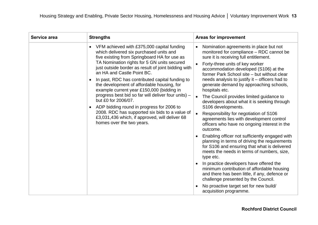| Service area | <b>Strengths</b>                                                                                                                                                                                                                                                                                                                                                                                                                                                                                                                                                                                                                                                                                              | <b>Areas for improvement</b>                                                                                                                                                                                                                                                                                                                                                                                                                                                                                                                                                                                                                                                                                                                                                                                                                                                                                                                                                                                                                                                                                                                        |
|--------------|---------------------------------------------------------------------------------------------------------------------------------------------------------------------------------------------------------------------------------------------------------------------------------------------------------------------------------------------------------------------------------------------------------------------------------------------------------------------------------------------------------------------------------------------------------------------------------------------------------------------------------------------------------------------------------------------------------------|-----------------------------------------------------------------------------------------------------------------------------------------------------------------------------------------------------------------------------------------------------------------------------------------------------------------------------------------------------------------------------------------------------------------------------------------------------------------------------------------------------------------------------------------------------------------------------------------------------------------------------------------------------------------------------------------------------------------------------------------------------------------------------------------------------------------------------------------------------------------------------------------------------------------------------------------------------------------------------------------------------------------------------------------------------------------------------------------------------------------------------------------------------|
|              | VFM achieved with £375,000 capital funding<br>$\bullet$<br>which delivered six purchased units and<br>five existing from Springboard HA for use as<br>TA Nomination rights for 5 GN units secured<br>just outside border as result of joint bidding with<br>an HA and Castle Point BC.<br>In past, RDC has contributed capital funding to<br>the development of affordable housing, for<br>example current year £150,000 (bidding in<br>progress best bid so far will deliver four units) -<br>but £0 for 2006/07.<br>ADP bidding round in progress for 2006 to<br>$\bullet$<br>2008. RDC has supported six bids to a value of<br>£3,031,436 which, if approved, will deliver 68<br>homes over the two years. | Nomination agreements in place but not<br>$\bullet$<br>monitored for compliance - RDC cannot be<br>sure it is receiving full entitlement.<br>Forty-three units of key worker<br>accommodation developed (S106) at the<br>former Park School site - but without clear<br>needs analysis to justify it - officers had to<br>generate demand by approaching schools,<br>hospitals etc.<br>The Council provides limited guidance to<br>$\bullet$<br>developers about what it is seeking through<br>S106 developments.<br>Responsibility for negotiation of S106<br>$\bullet$<br>agreements lies with development control<br>officers who have no ongoing interest in the<br>outcome.<br>Enabling officer not sufficiently engaged with<br>planning in terms of driving the requirements<br>for S106 and ensuring that what is delivered<br>meets the needs in terms of numbers, size,<br>type etc.<br>In practice developers have offered the<br>minimum contribution of affordable housing<br>and there has been little, if any, defence or<br>challenge presented by the Council.<br>No proactive target set for new build/<br>acquisition programme. |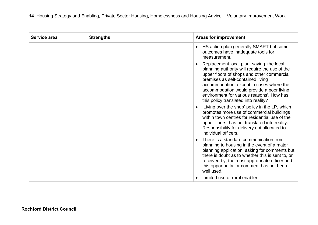| Service area | <b>Strengths</b> | <b>Areas for improvement</b>                                                                                                                                                                                                                                                                                                                                 |
|--------------|------------------|--------------------------------------------------------------------------------------------------------------------------------------------------------------------------------------------------------------------------------------------------------------------------------------------------------------------------------------------------------------|
|              |                  | HS action plan generally SMART but some<br>outcomes have inadequate tools for<br>measurement.                                                                                                                                                                                                                                                                |
|              |                  | Replacement local plan, saying 'the local<br>planning authority will require the use of the<br>upper floors of shops and other commercial<br>premises as self-contained living<br>accommodation, except in cases where the<br>accommodation would provide a poor living<br>environment for various reasons'. How has<br>this policy translated into reality? |
|              |                  | 'Living over the shop' policy in the LP, which<br>promotes more use of commercial buildings<br>within town centres for residential use of the<br>upper floors, has not translated into reality.<br>Responsibility for delivery not allocated to<br>individual officers.                                                                                      |
|              |                  | There is a standard communication from<br>planning to housing in the event of a major<br>planning application, asking for comments but<br>there is doubt as to whether this is sent to, or<br>received by, the most appropriate officer and<br>this opportunity for comment has not been<br>well used.                                                       |
|              |                  | Limited use of rural enabler.                                                                                                                                                                                                                                                                                                                                |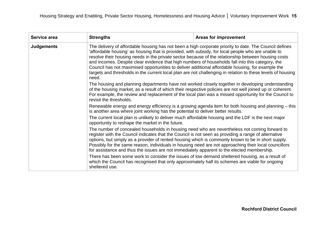| Service area      | <b>Strengths</b>                                                                                                                                                                                                                                                                                                                                                                                                                                                                                                                                                                                                                                                                                                                            | <b>Areas for improvement</b>                                                                                                                                                                                                                                                                                            |  |
|-------------------|---------------------------------------------------------------------------------------------------------------------------------------------------------------------------------------------------------------------------------------------------------------------------------------------------------------------------------------------------------------------------------------------------------------------------------------------------------------------------------------------------------------------------------------------------------------------------------------------------------------------------------------------------------------------------------------------------------------------------------------------|-------------------------------------------------------------------------------------------------------------------------------------------------------------------------------------------------------------------------------------------------------------------------------------------------------------------------|--|
| <b>Judgements</b> | The delivery of affordable housing has not been a high corporate priority to date. The Council defines<br>'affordable housing' as housing that is provided, with subsidy, for local people who are unable to<br>resolve their housing needs in the private sector because of the relationship between housing costs<br>and incomes. Despite clear evidence that high numbers of households fall into this category, the<br>Council has not maximised opportunities to deliver additional affordable housing, for example the<br>targets and thresholds in the current local plan are not challenging in relation to these levels of housing<br>need.                                                                                        |                                                                                                                                                                                                                                                                                                                         |  |
|                   | revisit the thresholds.                                                                                                                                                                                                                                                                                                                                                                                                                                                                                                                                                                                                                                                                                                                     | The housing and planning departments have not worked closely together in developing understanding<br>of the housing market, as a result of which their respective policies are not well joined up or coherent.<br>For example, the review and replacement of the local plan was a missed opportunity for the Council to |  |
|                   | Renewable energy and energy efficiency is a growing agenda item for both housing and planning – this<br>is another area where joint working has the potential to deliver better results.                                                                                                                                                                                                                                                                                                                                                                                                                                                                                                                                                    |                                                                                                                                                                                                                                                                                                                         |  |
|                   | opportunity to reshape the market in the future.                                                                                                                                                                                                                                                                                                                                                                                                                                                                                                                                                                                                                                                                                            | The current local plan is unlikely to deliver much affordable housing and the LDF is the next major                                                                                                                                                                                                                     |  |
|                   | The number of concealed households in housing need who are nevertheless not coming forward to<br>register with the Council indicates that the Council is not seen as providing a range of alternative<br>options, but simply as a provider of rented housing which is commonly known to be in short supply.<br>Possibly for the same reason, individuals in housing need are not approaching their local councillors<br>for assistance and thus the issues are not immediately apparent to the elected membership.<br>There has been some work to consider the issues of low demand sheltered housing, as a result of<br>which the Council has recognised that only approximately half its schemes are viable for ongoing<br>sheltered use. |                                                                                                                                                                                                                                                                                                                         |  |
|                   |                                                                                                                                                                                                                                                                                                                                                                                                                                                                                                                                                                                                                                                                                                                                             |                                                                                                                                                                                                                                                                                                                         |  |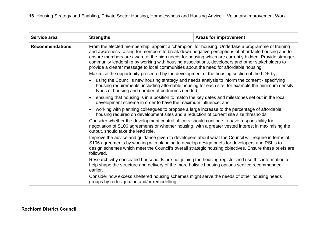| Service area           | <b>Strengths</b>                                                                                                                                                                                                                                                                                                                                                                                                                                                                                         | <b>Areas for improvement</b>                                                                                                                                                                                                                                                                                                                                                                                                                                                                                         |  |
|------------------------|----------------------------------------------------------------------------------------------------------------------------------------------------------------------------------------------------------------------------------------------------------------------------------------------------------------------------------------------------------------------------------------------------------------------------------------------------------------------------------------------------------|----------------------------------------------------------------------------------------------------------------------------------------------------------------------------------------------------------------------------------------------------------------------------------------------------------------------------------------------------------------------------------------------------------------------------------------------------------------------------------------------------------------------|--|
| <b>Recommendations</b> | From the elected membership, appoint a 'champion' for housing. Undertake a programme of training<br>and awareness-raising for members to break down negative perceptions of affordable housing and to<br>ensure members are aware of the high needs for housing which are currently hidden. Provide stronger<br>community leadership by working with housing associations, developers and other stakeholders to<br>provide a clearer message to local communities about the need for affordable housing. |                                                                                                                                                                                                                                                                                                                                                                                                                                                                                                                      |  |
|                        | Maximise the opportunity presented by the development of the housing section of the LDF by;                                                                                                                                                                                                                                                                                                                                                                                                              |                                                                                                                                                                                                                                                                                                                                                                                                                                                                                                                      |  |
|                        |                                                                                                                                                                                                                                                                                                                                                                                                                                                                                                          | using the Council's new housing strategy and needs analysis to inform the content - specifying<br>housing requirements, including affordable housing for each site, for example the minimum density,<br>types of housing and number of bedrooms needed;<br>ensuring that housing is in a position to match the key dates and milestones set out in the local<br>development scheme in order to have the maximum influence; and                                                                                       |  |
|                        |                                                                                                                                                                                                                                                                                                                                                                                                                                                                                                          |                                                                                                                                                                                                                                                                                                                                                                                                                                                                                                                      |  |
|                        | working with planning colleagues to propose a large increase to the percentage of affordable<br>housing required on development sites and a reduction of current site size thresholds.                                                                                                                                                                                                                                                                                                                   |                                                                                                                                                                                                                                                                                                                                                                                                                                                                                                                      |  |
|                        | output, should take the lead role.                                                                                                                                                                                                                                                                                                                                                                                                                                                                       | Consider whether the development control officers should continue to have responsibility for<br>negotiation of S106 agreements or whether housing, with a greater vested interest in maximising the<br>Improve the advice and guidance given to developers about what the Council will require in terms of<br>S106 agreements by working with planning to develop design briefs for developers and RSL's to<br>design schemes which meet the Council's overall strategic housing objectives. Ensure these briefs are |  |
|                        | followed.                                                                                                                                                                                                                                                                                                                                                                                                                                                                                                |                                                                                                                                                                                                                                                                                                                                                                                                                                                                                                                      |  |
|                        | Research why concealed households are not joining the housing register and use this information to<br>help shape the structure and delivery of the more holistic housing options service recommended<br>earlier.<br>Consider how excess sheltered housing schemes might serve the needs of other housing needs<br>groups by redesignation and/or remodelling.                                                                                                                                            |                                                                                                                                                                                                                                                                                                                                                                                                                                                                                                                      |  |
|                        |                                                                                                                                                                                                                                                                                                                                                                                                                                                                                                          |                                                                                                                                                                                                                                                                                                                                                                                                                                                                                                                      |  |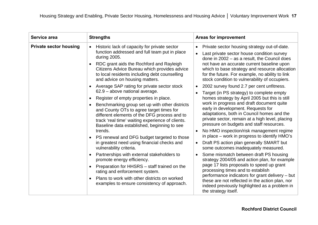| Service area                  | <b>Strengths</b>                                                                                                                                                                                                                                                                                                                                                                                                                                                                                                                                                                                                                                                                                                                                                                                                                                                                                                                                                                                                                                                          | <b>Areas for improvement</b>                                                                                                                                                                                                                                                                                                                                                                                                                                                                                                                                                                                                                                                                                                                                                                                                                                                                                                                                                                                                                                                                                                                                                                                                                                                                                       |
|-------------------------------|---------------------------------------------------------------------------------------------------------------------------------------------------------------------------------------------------------------------------------------------------------------------------------------------------------------------------------------------------------------------------------------------------------------------------------------------------------------------------------------------------------------------------------------------------------------------------------------------------------------------------------------------------------------------------------------------------------------------------------------------------------------------------------------------------------------------------------------------------------------------------------------------------------------------------------------------------------------------------------------------------------------------------------------------------------------------------|--------------------------------------------------------------------------------------------------------------------------------------------------------------------------------------------------------------------------------------------------------------------------------------------------------------------------------------------------------------------------------------------------------------------------------------------------------------------------------------------------------------------------------------------------------------------------------------------------------------------------------------------------------------------------------------------------------------------------------------------------------------------------------------------------------------------------------------------------------------------------------------------------------------------------------------------------------------------------------------------------------------------------------------------------------------------------------------------------------------------------------------------------------------------------------------------------------------------------------------------------------------------------------------------------------------------|
| <b>Private sector housing</b> | Historic lack of capacity for private sector<br>function addressed and full team put in place<br>during 2005.<br>RDC grant aids the Rochford and Rayleigh<br>Citizens Advice Bureau which provides advice<br>to local residents including debt counselling<br>and advice on housing matters.<br>Average SAP rating for private sector stock<br>62.9 - above national average.<br>Register of empty properties in place.<br>Benchmarking group set up with other districts<br>and County OTs to agree target times for<br>different elements of the DFG process and to<br>track 'real time' waiting experience of clients.<br>Baseline data established, beginning to see<br>trends.<br>PS renewal and DFG budget targeted to those<br>in greatest need using financial checks and<br>vulnerability criteria.<br>Partnerships with external stakeholders to<br>promote energy efficiency.<br>Preparation for HHSRS – staff trained on the<br>rating and enforcement system.<br>Plans to work with other districts on worked<br>examples to ensure consistency of approach. | Private sector housing strategy out-of-date.<br>$\bullet$<br>Last private sector house condition survey<br>done in $2002 - as a result$ , the Council does<br>not have an accurate current baseline upon<br>which to base strategy and resource allocation<br>for the future. For example, no ability to link<br>stock condition to vulnerability of occupiers.<br>2002 survey found 2.7 per cent unfitness.<br>$\bullet$<br>Target (in PS strategy) to complete empty<br>homes strategy by April 2005 but this is still<br>work in progress and draft document quite<br>early in development. Requests for<br>adaptations, both in Council homes and the<br>private sector, remain at a high level, placing<br>pressure on budgets and staff resources.<br>No HMO inspection/risk management regime<br>in place – work in progress to identify HMO's<br>Draft PS action plan generally SMART but<br>$\bullet$<br>some outcomes inadequately measured.<br>Some mismatch between draft PS housing<br>strategy 2004/05 and action plan, for example<br>page 17 lists proposals to speed up grant<br>processing times and to establish<br>performance indicators for grant delivery - but<br>these are not reflected in the action plan, nor<br>indeed previously highlighted as a problem in<br>the strategy itself. |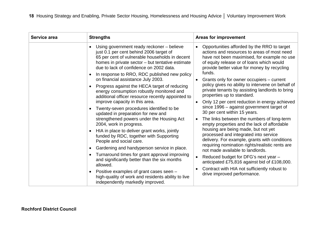| Service area | <b>Strengths</b>                                                                                                                                                                                                                                                                                                                                                                                                                                                                                                                                                                                                                                                                                                                                                                                                                                                                                                                                                                                                                                                                                                                        | <b>Areas for improvement</b>                                                                                                                                                                                                                                                                                                                                                                                                                                                                                                                                                                                                                                                                                                                                                                                                                                                                                                                                                                                                                                              |
|--------------|-----------------------------------------------------------------------------------------------------------------------------------------------------------------------------------------------------------------------------------------------------------------------------------------------------------------------------------------------------------------------------------------------------------------------------------------------------------------------------------------------------------------------------------------------------------------------------------------------------------------------------------------------------------------------------------------------------------------------------------------------------------------------------------------------------------------------------------------------------------------------------------------------------------------------------------------------------------------------------------------------------------------------------------------------------------------------------------------------------------------------------------------|---------------------------------------------------------------------------------------------------------------------------------------------------------------------------------------------------------------------------------------------------------------------------------------------------------------------------------------------------------------------------------------------------------------------------------------------------------------------------------------------------------------------------------------------------------------------------------------------------------------------------------------------------------------------------------------------------------------------------------------------------------------------------------------------------------------------------------------------------------------------------------------------------------------------------------------------------------------------------------------------------------------------------------------------------------------------------|
|              | Using government ready reckoner - believe<br>just 0.1 per cent behind 2006 target of<br>65 per cent of vulnerable households in decent<br>homes in private sector – but tentative estimate<br>due to lack of confidence on 2002 data.<br>In response to RRO, RDC published new policy<br>$\bullet$<br>on financial assistance July 2003.<br>Progress against the HECA target of reducing<br>energy consumption robustly monitored and<br>additional officer resource recently appointed to<br>improve capacity in this area.<br>Twenty-seven procedures identified to be<br>updated in preparation for new and<br>strengthened powers under the Housing Act<br>2004, work in progress.<br>HIA in place to deliver grant works, jointly<br>funded by RDC, together with Supporting<br>People and social care.<br>Gardening and handyperson service in place.<br>$\bullet$<br>Turnaround times for grant approval improving<br>$\bullet$<br>and significantly better than the six months<br>allowed.<br>Positive examples of grant cases seen -<br>high-quality of work and residents ability to live<br>independently markedly improved. | Opportunities afforded by the RRO to target<br>$\bullet$<br>actions and resources to areas of most need<br>have not been maximised, for example no use<br>of equity release or of loans which would<br>provide better value for money by recycling<br>funds.<br>Grants only for owner occupiers – current<br>policy gives no ability to intervene on behalf of<br>private tenants by assisting landlords to bring<br>properties up to standard.<br>Only 12 per cent reduction in energy achieved<br>since 1996 – against government target of<br>30 per cent within 15 years.<br>The links between the numbers of long-term<br>empty properties and the lack of affordable<br>housing are being made, but not yet<br>processed and integrated into service<br>delivery. For example, grants with conditions<br>requiring nomination rights/realistic rents are<br>not made available to landlords.<br>Reduced budget for DFG's next year -<br>anticipated £75,816 against bid of £108,000.<br>Contract with HIA not sufficiently robust to<br>drive improved performance. |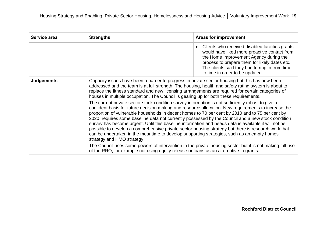| Service area      | <b>Strengths</b>                                                                                                                                                                                                                                                                                                                                                                                                                                                                                                                                                                                                                                                                                                                                                | <b>Areas for improvement</b>                                                                                                                                                                                                                                                    |
|-------------------|-----------------------------------------------------------------------------------------------------------------------------------------------------------------------------------------------------------------------------------------------------------------------------------------------------------------------------------------------------------------------------------------------------------------------------------------------------------------------------------------------------------------------------------------------------------------------------------------------------------------------------------------------------------------------------------------------------------------------------------------------------------------|---------------------------------------------------------------------------------------------------------------------------------------------------------------------------------------------------------------------------------------------------------------------------------|
|                   |                                                                                                                                                                                                                                                                                                                                                                                                                                                                                                                                                                                                                                                                                                                                                                 | Clients who received disabled facilities grants<br>would have liked more proactive contact from<br>the Home Improvement Agency during the<br>process to prepare them for likely dates etc.<br>The clients said they had to ring in from time<br>to time in order to be updated. |
| <b>Judgements</b> | Capacity issues have been a barrier to progress in private sector housing but this has now been<br>addressed and the team is at full strength. The housing, health and safety rating system is about to<br>replace the fitness standard and new licensing arrangements are required for certain categories of<br>houses in multiple occupation. The Council is gearing up for both these requirements.                                                                                                                                                                                                                                                                                                                                                          |                                                                                                                                                                                                                                                                                 |
|                   | The current private sector stock condition survey information is not sufficiently robust to give a<br>confident basis for future decision making and resource allocation. New requirements to increase the<br>proportion of vulnerable households in decent homes to 70 per cent by 2010 and to 75 per cent by<br>2020, requires some baseline data not currently possessed by the Council and a new stock condition<br>survey has become urgent. Until this baseline information and needs data is available it will not be<br>possible to develop a comprehensive private sector housing strategy but there is research work that<br>can be undertaken in the meantime to develop supporting strategies, such as an empty homes<br>strategy and HMO strategy. |                                                                                                                                                                                                                                                                                 |
|                   | The Council uses some powers of intervention in the private housing sector but it is not making full use<br>of the RRO, for example not using equity release or loans as an alternative to grants.                                                                                                                                                                                                                                                                                                                                                                                                                                                                                                                                                              |                                                                                                                                                                                                                                                                                 |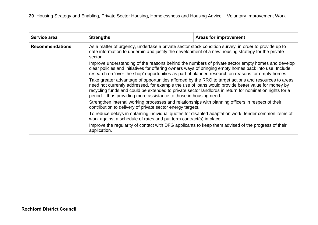| Service area           | <b>Strengths</b>                                                                                                                                                                                                                                                                                                                                                                                                                                                       | <b>Areas for improvement</b> |
|------------------------|------------------------------------------------------------------------------------------------------------------------------------------------------------------------------------------------------------------------------------------------------------------------------------------------------------------------------------------------------------------------------------------------------------------------------------------------------------------------|------------------------------|
| <b>Recommendations</b> | As a matter of urgency, undertake a private sector stock condition survey, in order to provide up to<br>date information to underpin and justify the development of a new housing strategy for the private<br>sector.                                                                                                                                                                                                                                                  |                              |
|                        | Improve understanding of the reasons behind the numbers of private sector empty homes and develop<br>clear policies and initiatives for offering owners ways of bringing empty homes back into use. Include<br>research on 'over the shop' opportunities as part of planned research on reasons for empty homes.                                                                                                                                                       |                              |
|                        | Take greater advantage of opportunities afforded by the RRO to target actions and resources to areas<br>need not currently addressed, for example the use of loans would provide better value for money by<br>recycling funds and could be extended to private sector landlords in return for nomination rights for a<br>period – thus providing more assistance to those in housing need.                                                                             |                              |
|                        | Strengthen internal working processes and relationships with planning officers in respect of their<br>contribution to delivery of private sector energy targets.<br>To reduce delays in obtaining individual quotes for disabled adaptation work, tender common items of<br>work against a schedule of rates and put term contract(s) in place.<br>Improve the regularity of contact with DFG applicants to keep them advised of the progress of their<br>application. |                              |
|                        |                                                                                                                                                                                                                                                                                                                                                                                                                                                                        |                              |
|                        |                                                                                                                                                                                                                                                                                                                                                                                                                                                                        |                              |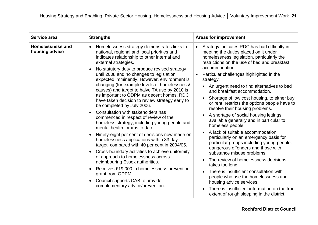| Service area                              | <b>Strengths</b>                                                                                                                                                                                                                                                                                                                                                                                                                                                                                                                                                                                                                                                                                                                                                                                                                                                                                                                                                                                                                                                                                                                     | <b>Areas for improvement</b>                                                                                                                                                                                                                                                                                                                                                                                                                                                                                                                                                                                                                                                                                                                                                                                                                                                                                                                                                                                                                                                              |
|-------------------------------------------|--------------------------------------------------------------------------------------------------------------------------------------------------------------------------------------------------------------------------------------------------------------------------------------------------------------------------------------------------------------------------------------------------------------------------------------------------------------------------------------------------------------------------------------------------------------------------------------------------------------------------------------------------------------------------------------------------------------------------------------------------------------------------------------------------------------------------------------------------------------------------------------------------------------------------------------------------------------------------------------------------------------------------------------------------------------------------------------------------------------------------------------|-------------------------------------------------------------------------------------------------------------------------------------------------------------------------------------------------------------------------------------------------------------------------------------------------------------------------------------------------------------------------------------------------------------------------------------------------------------------------------------------------------------------------------------------------------------------------------------------------------------------------------------------------------------------------------------------------------------------------------------------------------------------------------------------------------------------------------------------------------------------------------------------------------------------------------------------------------------------------------------------------------------------------------------------------------------------------------------------|
| <b>Homelessness and</b><br>housing advice | Homelessness strategy demonstrates links to<br>national, regional and local priorities and<br>indicates relationship to other internal and<br>external strategies.<br>No statutory duty to produce revised strategy<br>until 2008 and no changes to legislation<br>expected imminently. However, environment is<br>changing (for example levels of homelessness/<br>causes) and target to halve TA use by 2010 is<br>as important to ODPM as decent homes. RDC<br>have taken decision to review strategy early to<br>be completed by July 2006.<br>Consultation with stakeholders has<br>commenced in respect of review of the<br>homeless strategy, including young people and<br>mental health forums to date.<br>Ninety-eight per cent of decisions now made on<br>homelessness applications within 33 day<br>target, compared with 40 per cent in 2004/05.<br>Cross-boundary activities to achieve uniformity<br>of approach to homelessness across<br>neighbouring Essex authorities.<br>Receives £19,000 in homelessness prevention<br>grant from ODPM.<br>Council supports CAB to provide<br>complementary advice/prevention. | Strategy indicates RDC has had difficulty in<br>meeting the duties placed on it under<br>homelessness legislation, particularly the<br>restrictions on the use of bed and breakfast<br>accommodation.<br>Particular challenges highlighted in the<br>$\bullet$<br>strategy:<br>An urgent need to find alternatives to bed<br>and breakfast accommodation.<br>Shortage of low cost housing, to either buy<br>$\bullet$<br>or rent, restricts the options people have to<br>resolve their housing problems.<br>A shortage of social housing lettings<br>available generally and in particular to<br>homeless people.<br>A lack of suitable accommodation,<br>particularly on an emergency basis for<br>particular groups including young people,<br>dangerous offenders and those with<br>substance misuse problems.<br>The review of homelessness decisions<br>takes too long.<br>There is insufficient consultation with<br>people who use the homelessness and<br>housing advice services.<br>There is insufficient information on the true<br>extent of rough sleeping in the district. |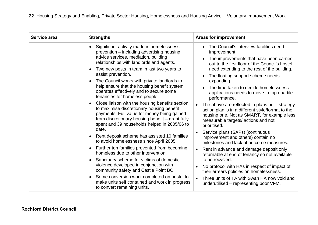| Service area | <b>Strengths</b>                                                                                                                                                                                                                                                                                                                                                                                                                                                                                                                                                                                                                                                                                                                                                                                                                                                                                                                                                                                                                                                                                                                                                  | <b>Areas for improvement</b>                                                                                                                                                                                                                                                                                                                                                                                                                                                                                                                                                                                                                                                                                                                                                                                                                                                                                                                                                                                                   |
|--------------|-------------------------------------------------------------------------------------------------------------------------------------------------------------------------------------------------------------------------------------------------------------------------------------------------------------------------------------------------------------------------------------------------------------------------------------------------------------------------------------------------------------------------------------------------------------------------------------------------------------------------------------------------------------------------------------------------------------------------------------------------------------------------------------------------------------------------------------------------------------------------------------------------------------------------------------------------------------------------------------------------------------------------------------------------------------------------------------------------------------------------------------------------------------------|--------------------------------------------------------------------------------------------------------------------------------------------------------------------------------------------------------------------------------------------------------------------------------------------------------------------------------------------------------------------------------------------------------------------------------------------------------------------------------------------------------------------------------------------------------------------------------------------------------------------------------------------------------------------------------------------------------------------------------------------------------------------------------------------------------------------------------------------------------------------------------------------------------------------------------------------------------------------------------------------------------------------------------|
|              | Significant activity made in homelessness<br>prevention – including advertising housing<br>advice services, mediation, building<br>relationships with landlords and agents.<br>Two new posts in team in last two years to<br>assist prevention.<br>The Council works with private landlords to<br>help ensure that the housing benefit system<br>operates effectively and to secure some<br>tenancies for homeless people.<br>Close liaison with the housing benefits section<br>$\bullet$<br>to maximise discretionary housing benefit<br>payments. Full value for money being gained<br>from discretionary housing benefit – grant fully<br>spent and 39 households helped in 2005/06 to<br>date.<br>Rent deposit scheme has assisted 10 families<br>to avoid homelessness since April 2005.<br>Further ten families prevented from becoming<br>$\bullet$<br>homeless due to other intervention.<br>Sanctuary scheme for victims of domestic<br>violence developed in conjunction with<br>community safety and Castle Point BC.<br>Some conversion work completed on hostel to<br>make units self contained and work in progress<br>to convert remaining units. | The Council's interview facilities need<br>improvement.<br>The improvements that have been carried<br>$\bullet$<br>out to the first floor of the Council's hostel<br>need extending to the rest of the building.<br>The floating support scheme needs<br>$\bullet$<br>expanding.<br>The time taken to decide homelessness<br>applications needs to move to top quartile<br>performance.<br>The above are reflected in plans but - strategy<br>action plan is in a different style/format to the<br>housing one. Not as SMART, for example less<br>measurable targets/ actions and not<br>prioritised.<br>Service plans (SAPs) (continuous<br>improvement and others) contain no<br>milestones and lack of outcome measures.<br>Rent in advance and damage deposit only<br>returnable at end of tenancy so not available<br>to be recycled.<br>No protocol with HAs in respect of impact of<br>their arrears policies on homelessness.<br>Three units of TA with Swan HA now void and<br>underutilised – representing poor VFM. |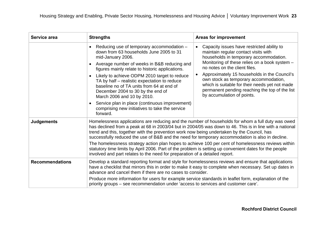| Service area           | <b>Strengths</b>                                                                                                                                                                                                                                                                                                                                                                                                                                                                                                                                                                                                                                                                                               | <b>Areas for improvement</b>                                                                                                                                                                                                                                                                                                                                                                                                              |
|------------------------|----------------------------------------------------------------------------------------------------------------------------------------------------------------------------------------------------------------------------------------------------------------------------------------------------------------------------------------------------------------------------------------------------------------------------------------------------------------------------------------------------------------------------------------------------------------------------------------------------------------------------------------------------------------------------------------------------------------|-------------------------------------------------------------------------------------------------------------------------------------------------------------------------------------------------------------------------------------------------------------------------------------------------------------------------------------------------------------------------------------------------------------------------------------------|
|                        | Reducing use of temporary accommodation -<br>down from 63 households June 2005 to 31<br>mid-January 2006.<br>Average number of weeks in B&B reducing and<br>figures mainly relate to historic applications.<br>Likely to achieve ODPM 2010 target to reduce<br>TA by half - realistic expectation to reduce<br>baseline no of TA units from 64 at end of<br>December 2004 to 30 by the end of<br>March 2006 and 10 by 2010.<br>Service plan in place (continuous improvement)<br>comprising new initiatives to take the service<br>forward.                                                                                                                                                                    | Capacity issues have restricted ability to<br>maintain regular contact visits with<br>households in temporary accommodation.<br>Monitoring of these relies on a book system -<br>no notes on the client files.<br>Approximately 15 households in the Council's<br>own stock as temporary accommodation,<br>which is suitable for their needs yet not made<br>permanent pending reaching the top of the list<br>by accumulation of points. |
| <b>Judgements</b>      | Homelessness applications are reducing and the number of households for whom a full duty was owed<br>has declined from a peak at 68 in 2003/04 but in 2004/05 was down to 46. This is in line with a national<br>trend and this, together with the prevention work now being undertaken by the Council, has<br>successfully reduced the use of B&B and the need for temporary accommodation is also in decline.<br>The homelessness strategy action plan hopes to achieve 100 per cent of homelessness reviews within<br>statutory time limits by April 2006. Part of the problem is setting up convenient dates for the people<br>involved and part relates to the need for preparation of a detailed report. |                                                                                                                                                                                                                                                                                                                                                                                                                                           |
| <b>Recommendations</b> | Develop a standard reporting format and style for homelessness reviews and ensure that applications<br>have a checklist that mirrors this in order to make it easy to complete when necessary. Set up dates in<br>advance and cancel them if there are no cases to consider.<br>Produce more information for users for example service standards in leaflet form, explanation of the<br>priority groups – see recommendation under 'access to services and customer care'.                                                                                                                                                                                                                                     |                                                                                                                                                                                                                                                                                                                                                                                                                                           |